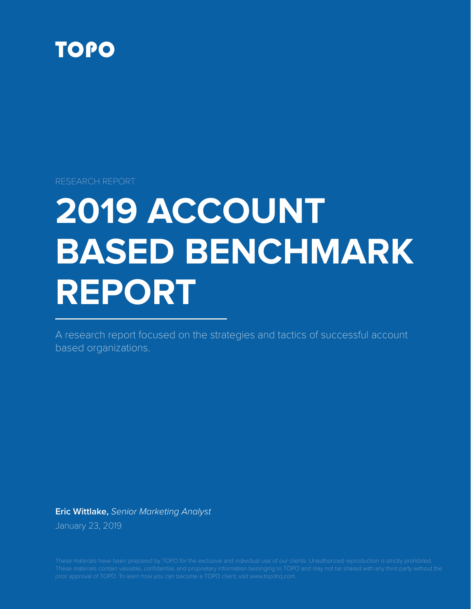

RESEARCH REPORT

# **2019 ACCOUNT BASED BENCHMARK REPORT**

A research report focused on the strategies and tactics of successful account based organizations.

**Eric Wittlake,** *Senior Marketing Analyst* January 23, 2019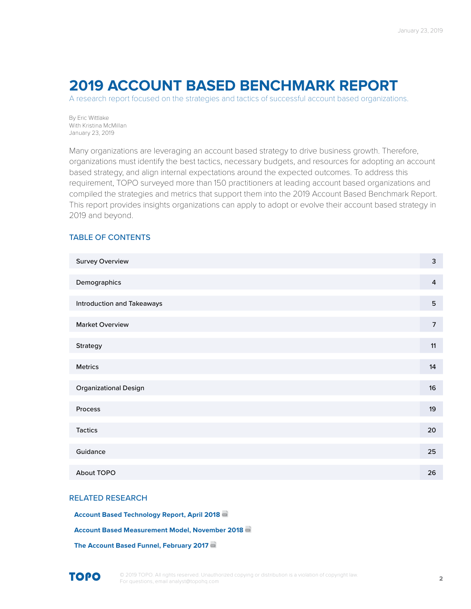## **2019 ACCOUNT BASED BENCHMARK REPORT**

A research report focused on the strategies and tactics of successful account based organizations.

By Eric Wittlake With Kristina McMillan January 23, 2019

Many organizations are leveraging an account based strategy to drive business growth. Therefore, organizations must identify the best tactics, necessary budgets, and resources for adopting an account based strategy, and align internal expectations around the expected outcomes. To address this requirement, TOPO surveyed more than 150 practitioners at leading account based organizations and compiled the strategies and metrics that support them into the 2019 Account Based Benchmark Report. This report provides insights organizations can apply to adopt or evolve their account based strategy in 2019 and beyond.

## TABLE OF CONTENTS

| <b>Survey Overview</b>            | 3              |
|-----------------------------------|----------------|
| Demographics                      | 4              |
| <b>Introduction and Takeaways</b> | $\overline{5}$ |
| <b>Market Overview</b>            | $\overline{7}$ |
| Strategy                          | 11             |
| Metrics                           | 14             |
| <b>Organizational Design</b>      | 16             |
| Process                           | 19             |
| <b>Tactics</b>                    | 20             |
| Guidance                          | 25             |
| About TOPO                        | 26             |

#### RELATED RESEARCH

**[Account Based Technology Report, April 2018](http://client.topohq.com/content_records/121)**

**[Account Based Measurement Model, November 2018](http://client.topohq.com/content_records/171)**

**[The Account Based Funnel, February 2017](http://client.topohq.com/content_records/122)**

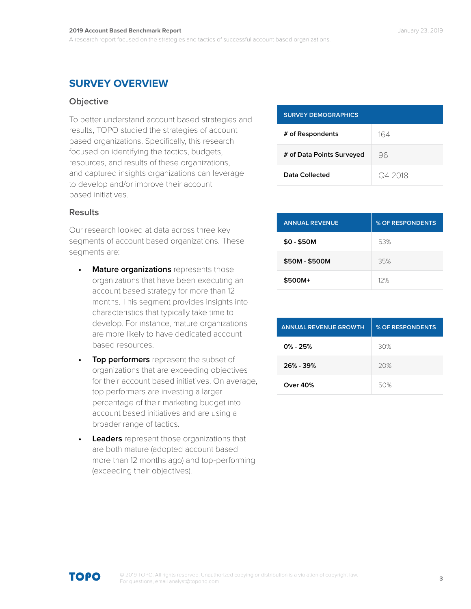## **SURVEY OVERVIEW**

## **Objective**

To better understand account based strategies and results, TOPO studied the strategies of account based organizations. Specifically, this research focused on identifying the tactics, budgets, resources, and results of these organizations, and captured insights organizations can leverage to develop and/or improve their account based initiatives.

| <b>SURVEY DEMOGRAPHICS</b> |         |  |
|----------------------------|---------|--|
| # of Respondents           | 164     |  |
| # of Data Points Surveyed  | 96      |  |
| Data Collected             | Q4 2018 |  |

## **Results**

Our research looked at data across three key segments of account based organizations. These segments are:

- **• Mature organizations** represents those organizations that have been executing an account based strategy for more than 12 months. This segment provides insights into characteristics that typically take time to develop. For instance, mature organizations are more likely to have dedicated account based resources.
- **• Top performers** represent the subset of organizations that are exceeding objectives for their account based initiatives. On average, top performers are investing a larger percentage of their marketing budget into account based initiatives and are using a broader range of tactics.
- **• Leaders** represent those organizations that are both mature (adopted account based more than 12 months ago) and top-performing (exceeding their objectives).

| <b>ANNUAL REVENUE</b> | % OF RESPONDENTS |
|-----------------------|------------------|
| $$0 - $50M$           | 53%              |
| \$50M - \$500M        | 35%              |
| \$500M+               | 12%              |

| <b>ANNUAL REVENUE GROWTH</b> | % OF RESPONDENTS |
|------------------------------|------------------|
| $0\% - 25\%$                 | 30%              |
| $26\% - 39\%$                | 20%              |
| Over 40%                     | 50%              |

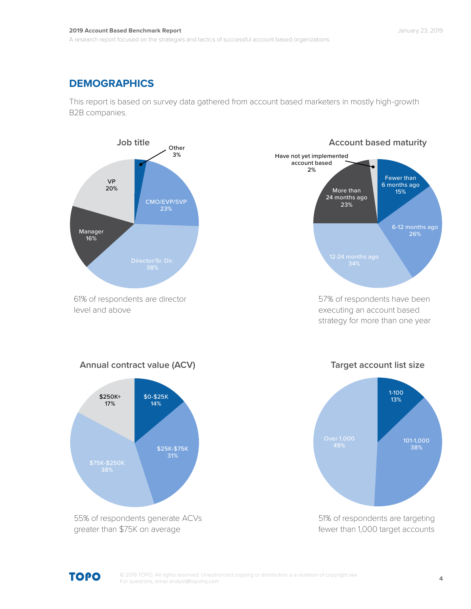#### **2019 Account Based Benchmark Report** January 23, 2019

A research report focused on the strategies and tactics of successful account based organizations.

## **DEMOGRAPHICS**

This report is based on survey data gathered from account based marketers in mostly high-growth B2B companies.



61% of respondents are director level and above



57% of respondents have been executing an account based strategy for more than one year



55% of respondents generate ACVs greater than \$75K on average





51% of respondents are targeting fewer than 1,000 target accounts

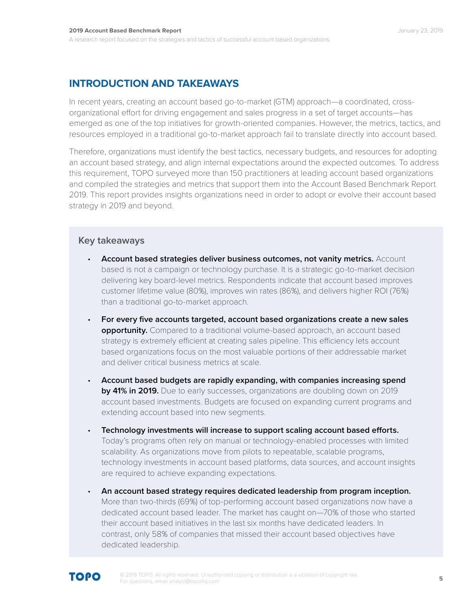## **INTRODUCTION AND TAKEAWAYS**

In recent years, creating an account based go-to-market (GTM) approach—a coordinated, crossorganizational effort for driving engagement and sales progress in a set of target accounts—has emerged as one of the top initiatives for growth-oriented companies. However, the metrics, tactics, and resources employed in a traditional go-to-market approach fail to translate directly into account based.

Therefore, organizations must identify the best tactics, necessary budgets, and resources for adopting an account based strategy, and align internal expectations around the expected outcomes. To address this requirement, TOPO surveyed more than 150 practitioners at leading account based organizations and compiled the strategies and metrics that support them into the Account Based Benchmark Report 2019. This report provides insights organizations need in order to adopt or evolve their account based strategy in 2019 and beyond.

## **Key takeaways**

- **Account based strategies deliver business outcomes, not vanity metrics.** Account based is not a campaign or technology purchase. It is a strategic go-to-market decision delivering key board-level metrics. Respondents indicate that account based improves customer lifetime value (80%), improves win rates (86%), and delivers higher ROI (76%) than a traditional go-to-market approach.
- **For every five accounts targeted, account based organizations create a new sales opportunity.** Compared to a traditional volume-based approach, an account based strategy is extremely efficient at creating sales pipeline. This efficiency lets account based organizations focus on the most valuable portions of their addressable market and deliver critical business metrics at scale.
- **Account based budgets are rapidly expanding, with companies increasing spend by 41% in 2019.** Due to early successes, organizations are doubling down on 2019 account based investments. Budgets are focused on expanding current programs and extending account based into new segments.
- **Technology investments will increase to support scaling account based efforts.** Today's programs often rely on manual or technology-enabled processes with limited scalability. As organizations move from pilots to repeatable, scalable programs, technology investments in account based platforms, data sources, and account insights are required to achieve expanding expectations.
- **An account based strategy requires dedicated leadership from program inception.**  More than two-thirds (69%) of top-performing account based organizations now have a dedicated account based leader. The market has caught on—70% of those who started their account based initiatives in the last six months have dedicated leaders. In contrast, only 58% of companies that missed their account based objectives have dedicated leadership.

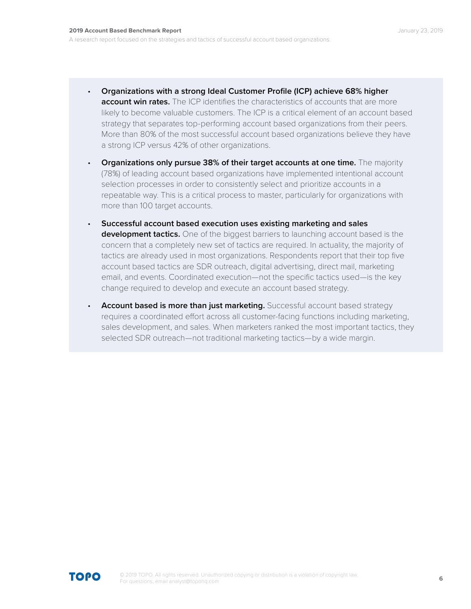- **Organizations with a strong Ideal Customer Profile (ICP) achieve 68% higher account win rates.** The ICP identifies the characteristics of accounts that are more likely to become valuable customers. The ICP is a critical element of an account based strategy that separates top-performing account based organizations from their peers. More than 80% of the most successful account based organizations believe they have a strong ICP versus 42% of other organizations.
- **Organizations only pursue 38% of their target accounts at one time.** The majority (78%) of leading account based organizations have implemented intentional account selection processes in order to consistently select and prioritize accounts in a repeatable way. This is a critical process to master, particularly for organizations with more than 100 target accounts.
- **Successful account based execution uses existing marketing and sales development tactics.** One of the biggest barriers to launching account based is the concern that a completely new set of tactics are required. In actuality, the majority of tactics are already used in most organizations. Respondents report that their top five account based tactics are SDR outreach, digital advertising, direct mail, marketing email, and events. Coordinated execution—not the specific tactics used—is the key change required to develop and execute an account based strategy.
- **Account based is more than just marketing.** Successful account based strategy requires a coordinated effort across all customer-facing functions including marketing, sales development, and sales. When marketers ranked the most important tactics, they selected SDR outreach—not traditional marketing tactics—by a wide margin.

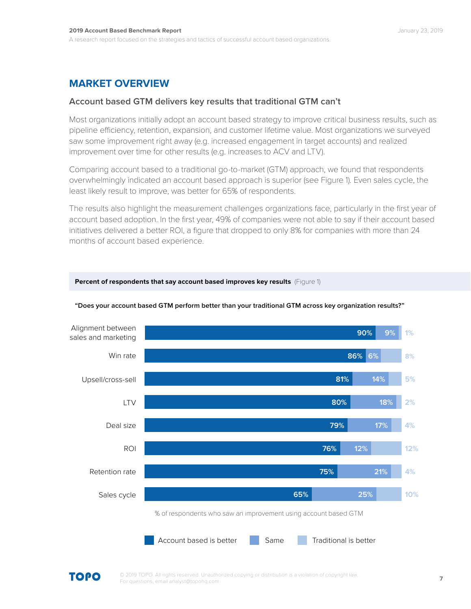## **MARKET OVERVIEW**

## **Account based GTM delivers key results that traditional GTM can't**

Most organizations initially adopt an account based strategy to improve critical business results, such as pipeline efficiency, retention, expansion, and customer lifetime value. Most organizations we surveyed saw some improvement right away (e.g. increased engagement in target accounts) and realized improvement over time for other results (e.g. increases to ACV and LTV).

Comparing account based to a traditional go-to-market (GTM) approach, we found that respondents overwhelmingly indicated an account based approach is superior (see Figure 1). Even sales cycle, the least likely result to improve, was better for 65% of respondents.

The results also highlight the measurement challenges organizations face, particularly in the first year of account based adoption. In the first year, 49% of companies were not able to say if their account based initiatives delivered a better ROI, a figure that dropped to only 8% for companies with more than 24 months of account based experience.



#### **"Does your account based GTM perform better than your traditional GTM across key organization results?"**

**Percent of respondents that say account based improves key results** (Figure 1)

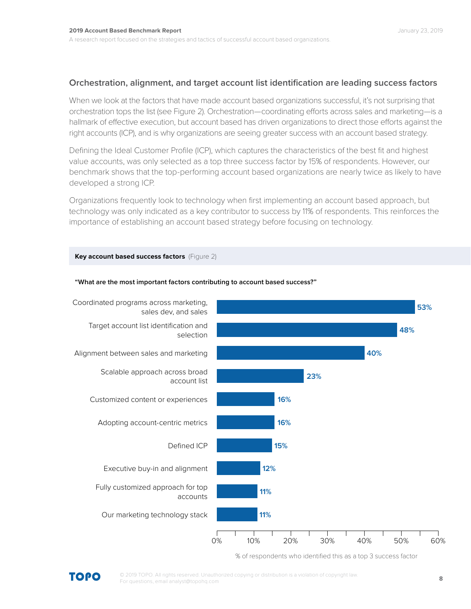## **Orchestration, alignment, and target account list identification are leading success factors**

When we look at the factors that have made account based organizations successful, it's not surprising that orchestration tops the list (see Figure 2). Orchestration—coordinating efforts across sales and marketing—is a hallmark of effective execution, but account based has driven organizations to direct those efforts against the right accounts (ICP), and is why organizations are seeing greater success with an account based strategy.

Defining the Ideal Customer Profile (ICP), which captures the characteristics of the best fit and highest value accounts, was only selected as a top three success factor by 15% of respondents. However, our benchmark shows that the top-performing account based organizations are nearly twice as likely to have developed a strong ICP.

Organizations frequently look to technology when first implementing an account based approach, but technology was only indicated as a key contributor to success by 11% of respondents. This reinforces the importance of establishing an account based strategy before focusing on technology.

#### **Key account based success factors** (Figure 2)



#### **"What are the most important factors contributing to account based success?"**

% of respondents who identified this as a top 3 success factor

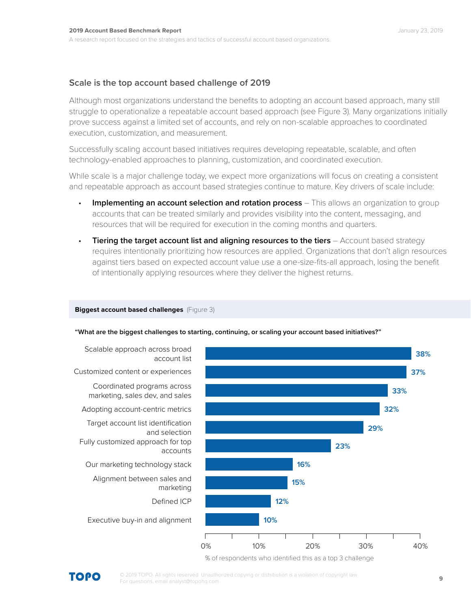## **Scale is the top account based challenge of 2019**

Although most organizations understand the benefits to adopting an account based approach, many still struggle to operationalize a repeatable account based approach (see Figure 3). Many organizations initially prove success against a limited set of accounts, and rely on non-scalable approaches to coordinated execution, customization, and measurement.

Successfully scaling account based initiatives requires developing repeatable, scalable, and often technology-enabled approaches to planning, customization, and coordinated execution.

While scale is a major challenge today, we expect more organizations will focus on creating a consistent and repeatable approach as account based strategies continue to mature. Key drivers of scale include:

- **Implementing an account selection and rotation process** This allows an organization to group accounts that can be treated similarly and provides visibility into the content, messaging, and resources that will be required for execution in the coming months and quarters.
- **Tiering the target account list and aligning resources to the tiers** Account based strategy requires intentionally prioritizing how resources are applied. Organizations that don't align resources against tiers based on expected account value use a one-size-fits-all approach, losing the benefit of intentionally applying resources where they deliver the highest returns.

#### **Biggest account based challenges** (Figure 3)

**"What are the biggest challenges to starting, continuing, or scaling your account based initiatives?"**



% of respondents who identified this as a top 3 challenge

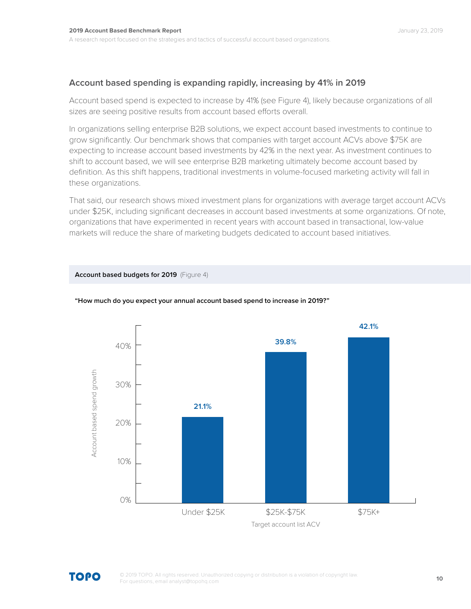## **Account based spending is expanding rapidly, increasing by 41% in 2019**

Account based spend is expected to increase by 41% (see Figure 4), likely because organizations of all sizes are seeing positive results from account based efforts overall.

In organizations selling enterprise B2B solutions, we expect account based investments to continue to grow significantly. Our benchmark shows that companies with target account ACVs above \$75K are expecting to increase account based investments by 42% in the next year. As investment continues to shift to account based, we will see enterprise B2B marketing ultimately become account based by definition. As this shift happens, traditional investments in volume-focused marketing activity will fall in these organizations.

That said, our research shows mixed investment plans for organizations with average target account ACVs under \$25K, including significant decreases in account based investments at some organizations. Of note, organizations that have experimented in recent years with account based in transactional, low-value markets will reduce the share of marketing budgets dedicated to account based initiatives.

## **Account based budgets for 2019** (Figure 4)



#### **"How much do you expect your annual account based spend to increase in 2019?"**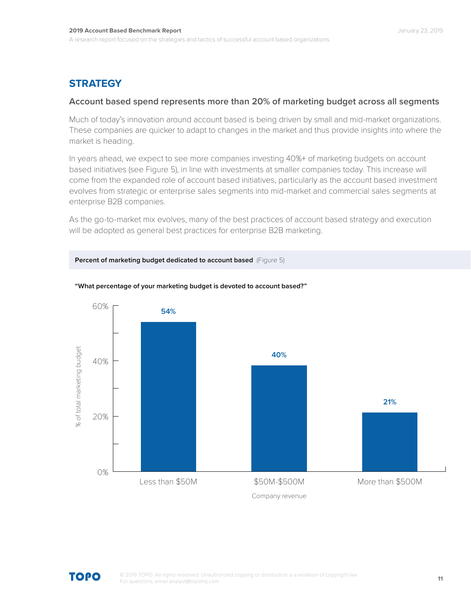## **STRATEGY**

## **Account based spend represents more than 20% of marketing budget across all segments**

Much of today's innovation around account based is being driven by small and mid-market organizations. These companies are quicker to adapt to changes in the market and thus provide insights into where the market is heading.

In years ahead, we expect to see more companies investing 40%+ of marketing budgets on account based initiatives (see Figure 5), in line with investments at smaller companies today. This increase will come from the expanded role of account based initiatives, particularly as the account based investment evolves from strategic or enterprise sales segments into mid-market and commercial sales segments at enterprise B2B companies.

As the go-to-market mix evolves, many of the best practices of account based strategy and execution will be adopted as general best practices for enterprise B2B marketing.





#### **"What percentage of your marketing budget is devoted to account based?"**

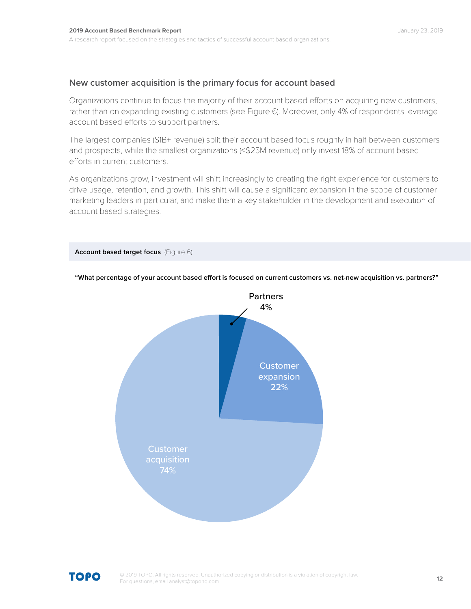## **New customer acquisition is the primary focus for account based**

**Account based target focus** (Figure 6)

Organizations continue to focus the majority of their account based efforts on acquiring new customers, rather than on expanding existing customers (see Figure 6). Moreover, only 4% of respondents leverage account based efforts to support partners.

The largest companies (\$1B+ revenue) split their account based focus roughly in half between customers and prospects, while the smallest organizations (<\$25M revenue) only invest 18% of account based efforts in current customers.

As organizations grow, investment will shift increasingly to creating the right experience for customers to drive usage, retention, and growth. This shift will cause a significant expansion in the scope of customer marketing leaders in particular, and make them a key stakeholder in the development and execution of account based strategies.



**"What percentage of your account based effort is focused on current customers vs. net-new acquisition vs. partners?"**

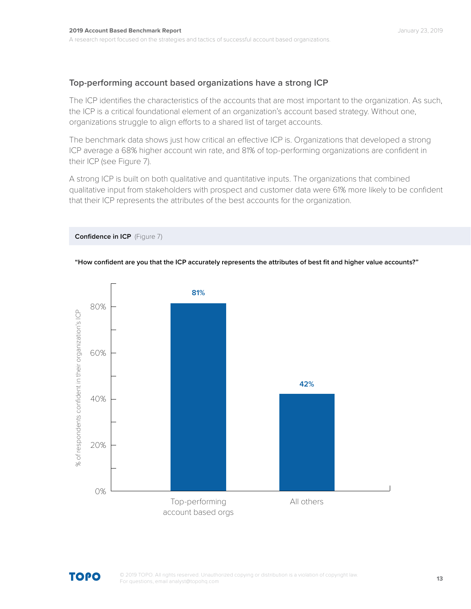## **Top-performing account based organizations have a strong ICP**

The ICP identifies the characteristics of the accounts that are most important to the organization. As such, the ICP is a critical foundational element of an organization's account based strategy. Without one, organizations struggle to align efforts to a shared list of target accounts.

The benchmark data shows just how critical an effective ICP is. Organizations that developed a strong ICP average a 68% higher account win rate, and 81% of top-performing organizations are confident in their ICP (see Figure 7).

A strong ICP is built on both qualitative and quantitative inputs. The organizations that combined qualitative input from stakeholders with prospect and customer data were 61% more likely to be confident that their ICP represents the attributes of the best accounts for the organization.

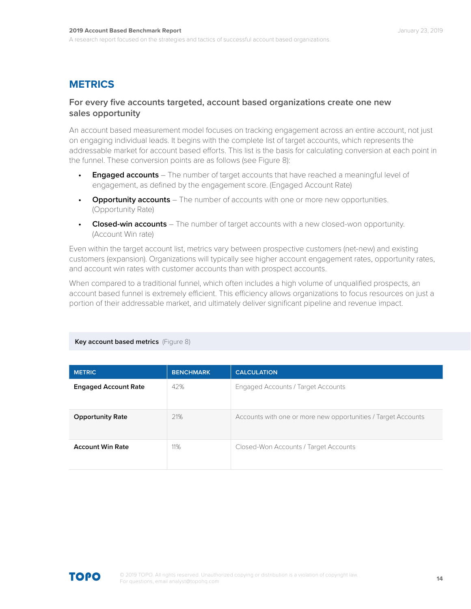## **METRICS**

## **For every five accounts targeted, account based organizations create one new sales opportunity**

An account based measurement model focuses on tracking engagement across an entire account, not just on engaging individual leads. It begins with the complete list of target accounts, which represents the addressable market for account based efforts. This list is the basis for calculating conversion at each point in the funnel. These conversion points are as follows (see Figure 8):

- **Engaged accounts** The number of target accounts that have reached a meaningful level of engagement, as defined by the engagement score. (Engaged Account Rate)
- **Opportunity accounts** The number of accounts with one or more new opportunities. (Opportunity Rate)
- **Closed-win accounts** The number of target accounts with a new closed-won opportunity. (Account Win rate)

Even within the target account list, metrics vary between prospective customers (net-new) and existing customers (expansion). Organizations will typically see higher account engagement rates, opportunity rates, and account win rates with customer accounts than with prospect accounts.

When compared to a traditional funnel, which often includes a high volume of unqualified prospects, an account based funnel is extremely efficient. This efficiency allows organizations to focus resources on just a portion of their addressable market, and ultimately deliver significant pipeline and revenue impact.

#### **Key account based metrics** (Figure 8)

| <b>METRIC</b>               | <b>BENCHMARK</b> | <b>CALCULATION</b>                                            |
|-----------------------------|------------------|---------------------------------------------------------------|
| <b>Engaged Account Rate</b> | 42%              | Engaged Accounts / Target Accounts                            |
| <b>Opportunity Rate</b>     | 21%              | Accounts with one or more new opportunities / Target Accounts |
| <b>Account Win Rate</b>     | 11%              | Closed-Won Accounts / Target Accounts                         |

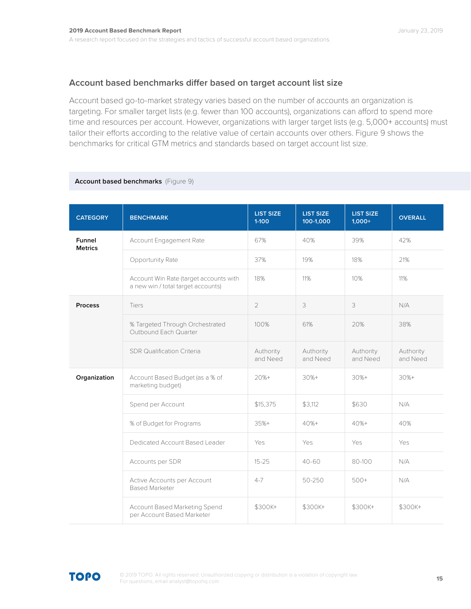## **Account based benchmarks differ based on target account list size**

Account based go-to-market strategy varies based on the number of accounts an organization is targeting. For smaller target lists (e.g. fewer than 100 accounts), organizations can afford to spend more time and resources per account. However, organizations with larger target lists (e.g. 5,000+ accounts) must tailor their efforts according to the relative value of certain accounts over others. Figure 9 shows the benchmarks for critical GTM metrics and standards based on target account list size.

| <b>CATEGORY</b>          | <b>BENCHMARK</b>                                                             | <b>LIST SIZE</b><br>$1-100$ | <b>LIST SIZE</b><br>100-1,000 | <b>LIST SIZE</b><br>$1,000+$ | <b>OVERALL</b>        |
|--------------------------|------------------------------------------------------------------------------|-----------------------------|-------------------------------|------------------------------|-----------------------|
| Funnel<br><b>Metrics</b> | Account Engagement Rate                                                      | 67%                         | 40%                           | 39%                          | 42%                   |
|                          | Opportunity Rate                                                             | 37%                         | 19%                           | 18%                          | 21%                   |
|                          | Account Win Rate (target accounts with<br>a new win / total target accounts) | 18%                         | 11%                           | 10%                          | 11%                   |
| <b>Process</b>           | Tiers                                                                        | $\overline{2}$              | 3                             | 3                            | N/A                   |
|                          | % Targeted Through Orchestrated<br>Outbound Each Quarter                     | 100%                        | 61%                           | 20%                          | 38%                   |
|                          | <b>SDR Qualification Criteria</b>                                            | Authority<br>and Need       | Authority<br>and Need         | Authority<br>and Need        | Authority<br>and Need |
| Organization             | Account Based Budget (as a % of<br>marketing budget)                         | $20% +$                     | $30% +$                       | $30% +$                      | $30% +$               |
|                          | Spend per Account                                                            | \$15,375                    | \$3,112                       | \$630                        | N/A                   |
|                          | % of Budget for Programs                                                     | $35%+$                      | 40%+                          | $40% +$                      | 40%                   |
|                          | Dedicated Account Based Leader                                               | Yes                         | Yes                           | Yes                          | Yes                   |
|                          | Accounts per SDR                                                             | $15 - 25$                   | $40 - 60$                     | 80-100                       | N/A                   |
|                          | Active Accounts per Account<br><b>Based Marketer</b>                         | $4 - 7$                     | 50-250                        | $500+$                       | N/A                   |
|                          | Account Based Marketing Spend<br>per Account Based Marketer                  | \$300K+                     | \$300K+                       | \$300K+                      | \$300K+               |

## **Account based benchmarks** (Figure 9)

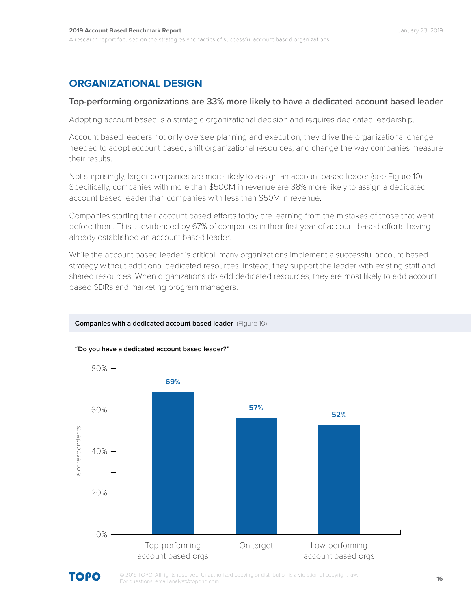## **ORGANIZATIONAL DESIGN**

## **Top-performing organizations are 33% more likely to have a dedicated account based leader**

Adopting account based is a strategic organizational decision and requires dedicated leadership.

Account based leaders not only oversee planning and execution, they drive the organizational change needed to adopt account based, shift organizational resources, and change the way companies measure their results.

Not surprisingly, larger companies are more likely to assign an account based leader (see Figure 10). Specifically, companies with more than \$500M in revenue are 38% more likely to assign a dedicated account based leader than companies with less than \$50M in revenue.

Companies starting their account based efforts today are learning from the mistakes of those that went before them. This is evidenced by 67% of companies in their first year of account based efforts having already established an account based leader.

While the account based leader is critical, many organizations implement a successful account based strategy without additional dedicated resources. Instead, they support the leader with existing staff and shared resources. When organizations do add dedicated resources, they are most likely to add account based SDRs and marketing program managers.



## **Companies with a dedicated account based leader** (Figure 10)

#### **"Do you have a dedicated account based leader?"**

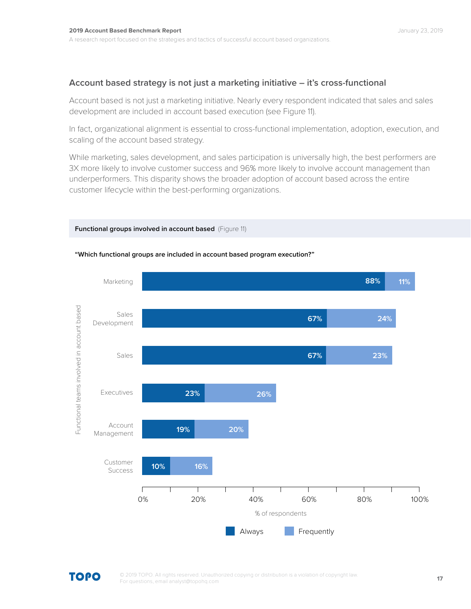## **Account based strategy is not just a marketing initiative – it's cross-functional**

Account based is not just a marketing initiative. Nearly every respondent indicated that sales and sales development are included in account based execution (see Figure 11).

In fact, organizational alignment is essential to cross-functional implementation, adoption, execution, and scaling of the account based strategy.

While marketing, sales development, and sales participation is universally high, the best performers are 3X more likely to involve customer success and 96% more likely to involve account management than underperformers. This disparity shows the broader adoption of account based across the entire customer lifecycle within the best-performing organizations.



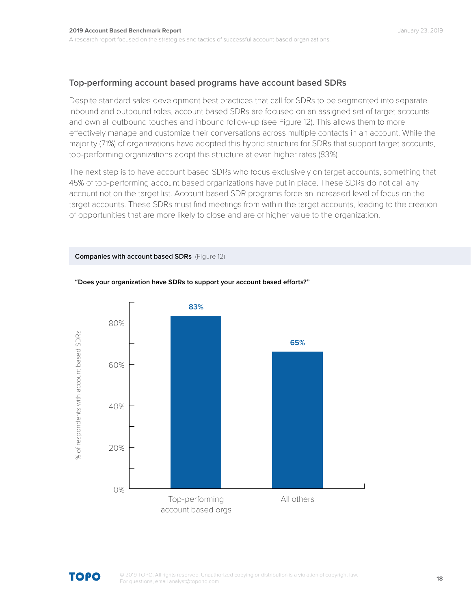## **Top-performing account based programs have account based SDRs**

Despite standard sales development best practices that call for SDRs to be segmented into separate inbound and outbound roles, account based SDRs are focused on an assigned set of target accounts and own all outbound touches and inbound follow-up (see Figure 12). This allows them to more effectively manage and customize their conversations across multiple contacts in an account. While the majority (71%) of organizations have adopted this hybrid structure for SDRs that support target accounts, top-performing organizations adopt this structure at even higher rates (83%).

The next step is to have account based SDRs who focus exclusively on target accounts, something that 45% of top-performing account based organizations have put in place. These SDRs do not call any account not on the target list. Account based SDR programs force an increased level of focus on the target accounts. These SDRs must find meetings from within the target accounts, leading to the creation of opportunities that are more likely to close and are of higher value to the organization.

## **Companies with account based SDRs** (Figure 12)



## **"Does your organization have SDRs to support your account based efforts?"**

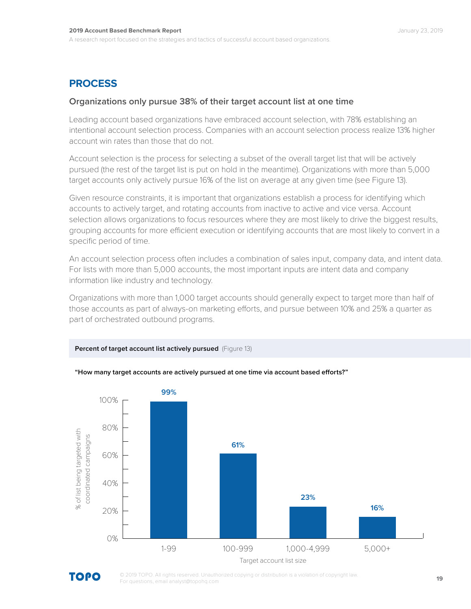## **PROCESS**

## **Organizations only pursue 38% of their target account list at one time**

Leading account based organizations have embraced account selection, with 78% establishing an intentional account selection process. Companies with an account selection process realize 13% higher account win rates than those that do not.

Account selection is the process for selecting a subset of the overall target list that will be actively pursued (the rest of the target list is put on hold in the meantime). Organizations with more than 5,000 target accounts only actively pursue 16% of the list on average at any given time (see Figure 13).

Given resource constraints, it is important that organizations establish a process for identifying which accounts to actively target, and rotating accounts from inactive to active and vice versa. Account selection allows organizations to focus resources where they are most likely to drive the biggest results, grouping accounts for more efficient execution or identifying accounts that are most likely to convert in a specific period of time.

An account selection process often includes a combination of sales input, company data, and intent data. For lists with more than 5,000 accounts, the most important inputs are intent data and company information like industry and technology.

Organizations with more than 1,000 target accounts should generally expect to target more than half of those accounts as part of always-on marketing efforts, and pursue between 10% and 25% a quarter as part of orchestrated outbound programs.



**Percent of target account list actively pursued** (Figure 13)



© 2019 TOPO. All rights reserved. Unauthorized copying or distribution is a violation of copyright law. For questions, email analyst@topohq.com

Target account list size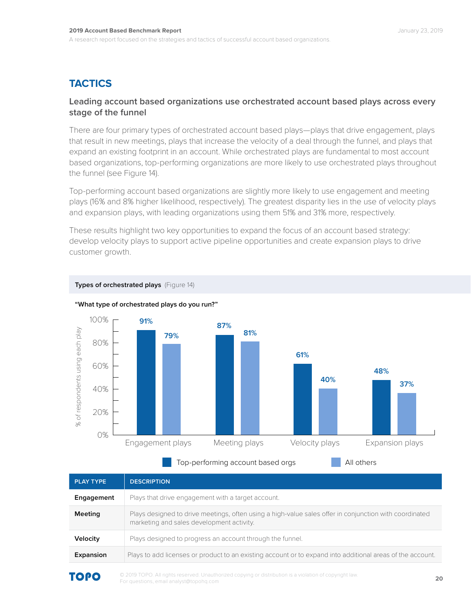## **TACTICS**

## **Leading account based organizations use orchestrated account based plays across every stage of the funnel**

There are four primary types of orchestrated account based plays—plays that drive engagement, plays that result in new meetings, plays that increase the velocity of a deal through the funnel, and plays that expand an existing footprint in an account. While orchestrated plays are fundamental to most account based organizations, top-performing organizations are more likely to use orchestrated plays throughout the funnel (see Figure 14).

Top-performing account based organizations are slightly more likely to use engagement and meeting plays (16% and 8% higher likelihood, respectively). The greatest disparity lies in the use of velocity plays and expansion plays, with leading organizations using them 51% and 31% more, respectively.

These results highlight two key opportunities to expand the focus of an account based strategy: develop velocity plays to support active pipeline opportunities and create expansion plays to drive customer growth.



**Types of orchestrated plays** (Figure 14) **"What type of orchestrated plays do you run?"**

Top-performing account based orgs **All others** 

| <b>PLAY TYPE</b> | <b>DESCRIPTION</b>                                                                                                                                  |
|------------------|-----------------------------------------------------------------------------------------------------------------------------------------------------|
| Engagement       | Plays that drive engagement with a target account.                                                                                                  |
| <b>Meeting</b>   | Plays designed to drive meetings, often using a high-value sales offer in conjunction with coordinated<br>marketing and sales development activity. |
| Velocity         | Plays designed to progress an account through the funnel.                                                                                           |
| Expansion        | Plays to add licenses or product to an existing account or to expand into additional areas of the account.                                          |
| <b>TAAA</b>      | a 2019 TOPO, All rights reserved. Unauthorized conving or distribution is a violation of convright law                                              |

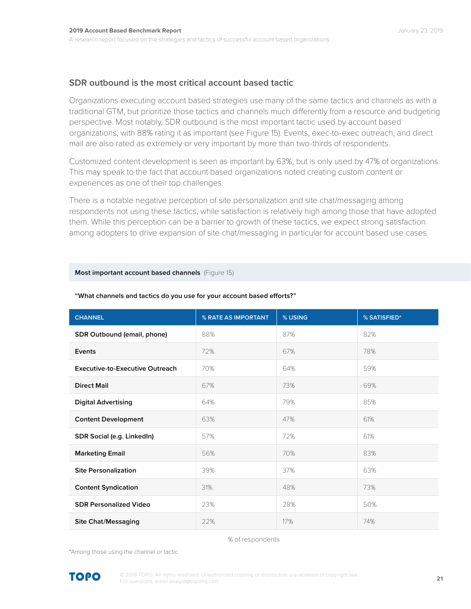## **SDR outbound is the most critical account based tactic**

Organizations executing account based strategies use many of the same tactics and channels as with a traditional GTM, but prioritize those tactics and channels much differently from a resource and budgeting perspective. Most notably, SDR outbound is the most important tactic used by account based organizations, with 88% rating it as important (see Figure 15). Events, exec-to-exec outreach, and direct mail are also rated as extremely or very important by more than two-thirds of respondents.

Customized content development is seen as important by 63%, but is only used by 47% of organizations. This may speak to the fact that account based organizations noted creating custom content or experiences as one of their top challenges.

There is a notable negative perception of site personalization and site chat/messaging among respondents not using these tactics, while satisfaction is relatively high among those that have adopted them. While this perception can be a barrier to growth of these tactics, we expect strong satisfaction among adopters to drive expansion of site chat/messaging in particular for account based use cases.

## **Most important account based channels** (Figure 15)

| <b>CHANNEL</b>                         | % RATE AS IMPORTANT | % USING | % SATISFIED* |
|----------------------------------------|---------------------|---------|--------------|
| SDR Outbound (email, phone)            | 88%                 | 87%     | 82%          |
| Events                                 | 72%                 | 67%     | 78%          |
| <b>Executive-to-Executive Outreach</b> | 70%                 | 64%     | 59%          |
| <b>Direct Mail</b>                     | 67%                 | 73%     | 69%          |
| <b>Digital Advertising</b>             | 64%                 | 79%     | 85%          |
| <b>Content Development</b>             | 63%                 | 47%     | 61%          |
| SDR Social (e.g. LinkedIn)             | 57%                 | 72%     | 61%          |
| <b>Marketing Email</b>                 | 56%                 | 70%     | 83%          |
| <b>Site Personalization</b>            | 39%                 | 37%     | 63%          |
| <b>Content Syndication</b>             | 31%                 | 48%     | 73%          |
| <b>SDR Personalized Video</b>          | 23%                 | 28%     | 50%          |
| <b>Site Chat/Messaging</b>             | 22%                 | 17%     | 74%          |

#### **"What channels and tactics do you use for your account based efforts?"**

#### % of respondents

\*Among those using the channel or tactic

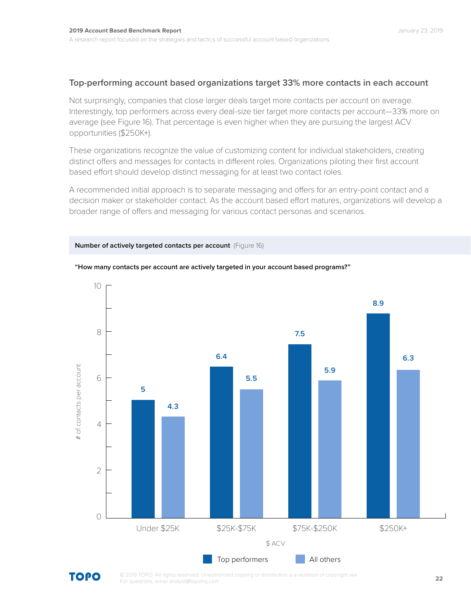## **Top-performing account based organizations target 33% more contacts in each account**

Not surprisingly, companies that close larger deals target more contacts per account on average. Interestingly, top performers across every deal-size tier target more contacts per account—33% more on average (see Figure 16). That percentage is even higher when they are pursuing the largest ACV opportunities (\$250K+).

These organizations recognize the value of customizing content for individual stakeholders, creating distinct offers and messages for contacts in different roles. Organizations piloting their first account based effort should develop distinct messaging for at least two contact roles.

A recommended initial approach is to separate messaging and offers for an entry-point contact and a decision maker or stakeholder contact. As the account based effort matures, organizations will develop a broader range of offers and messaging for various contact personas and scenarios.





#### **"How many contacts per account are actively targeted in your account based programs?"**

**TOPO**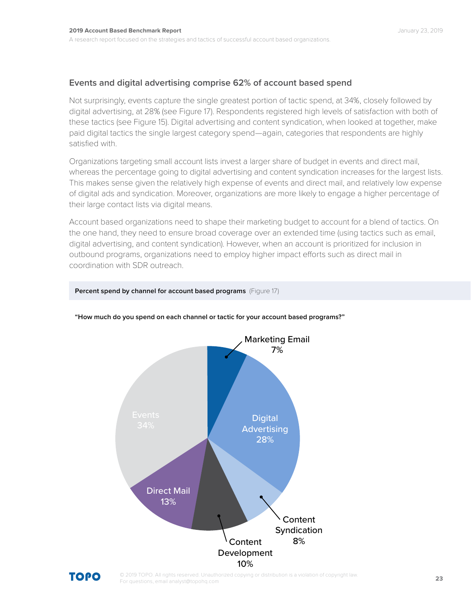## **Events and digital advertising comprise 62% of account based spend**

Not surprisingly, events capture the single greatest portion of tactic spend, at 34%, closely followed by digital advertising, at 28% (see Figure 17). Respondents registered high levels of satisfaction with both of these tactics (see Figure 15). Digital advertising and content syndication, when looked at together, make paid digital tactics the single largest category spend—again, categories that respondents are highly satisfied with.

Organizations targeting small account lists invest a larger share of budget in events and direct mail, whereas the percentage going to digital advertising and content syndication increases for the largest lists. This makes sense given the relatively high expense of events and direct mail, and relatively low expense of digital ads and syndication. Moreover, organizations are more likely to engage a higher percentage of their large contact lists via digital means.

Account based organizations need to shape their marketing budget to account for a blend of tactics. On the one hand, they need to ensure broad coverage over an extended time (using tactics such as email, digital advertising, and content syndication). However, when an account is prioritized for inclusion in outbound programs, organizations need to employ higher impact efforts such as direct mail in coordination with SDR outreach.



## **"How much do you spend on each channel or tactic for your account based programs?"**

**Percent spend by channel for account based programs** (Figure 17)

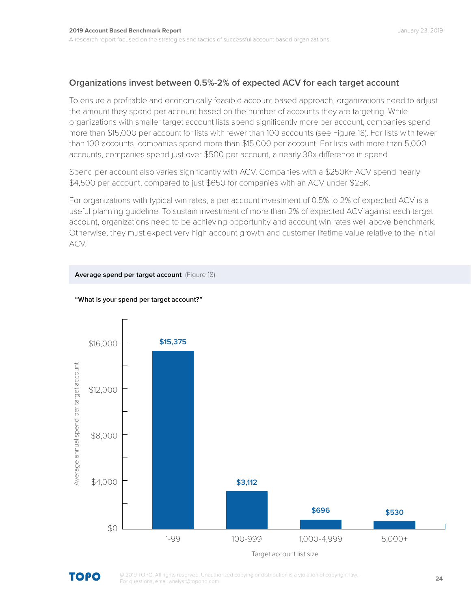## **Organizations invest between 0.5%-2% of expected ACV for each target account**

To ensure a profitable and economically feasible account based approach, organizations need to adjust the amount they spend per account based on the number of accounts they are targeting. While organizations with smaller target account lists spend significantly more per account, companies spend more than \$15,000 per account for lists with fewer than 100 accounts (see Figure 18). For lists with fewer than 100 accounts, companies spend more than \$15,000 per account. For lists with more than 5,000 accounts, companies spend just over \$500 per account, a nearly 30x difference in spend.

Spend per account also varies significantly with ACV. Companies with a \$250K+ ACV spend nearly \$4,500 per account, compared to just \$650 for companies with an ACV under \$25K.

For organizations with typical win rates, a per account investment of 0.5% to 2% of expected ACV is a useful planning guideline. To sustain investment of more than 2% of expected ACV against each target account, organizations need to be achieving opportunity and account win rates well above benchmark. Otherwise, they must expect very high account growth and customer lifetime value relative to the initial ACV.



## **"What is your spend per target account?"**

**Average spend per target account** (Figure 18)

TOPO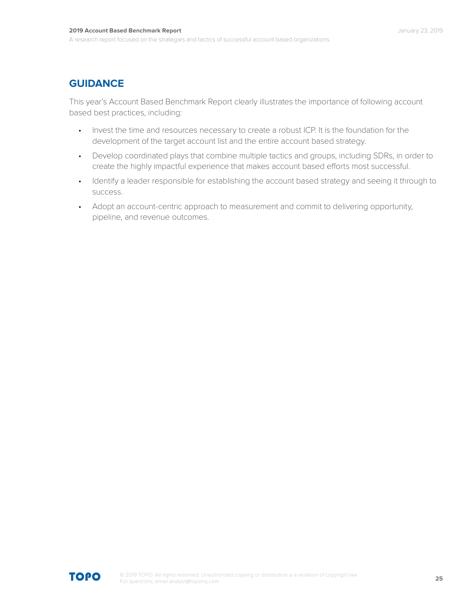## **GUIDANCE**

This year's Account Based Benchmark Report clearly illustrates the importance of following account based best practices, including:

- Invest the time and resources necessary to create a robust ICP. It is the foundation for the development of the target account list and the entire account based strategy.
- Develop coordinated plays that combine multiple tactics and groups, including SDRs, in order to create the highly impactful experience that makes account based efforts most successful.
- Identify a leader responsible for establishing the account based strategy and seeing it through to success.
- Adopt an account-centric approach to measurement and commit to delivering opportunity, pipeline, and revenue outcomes.